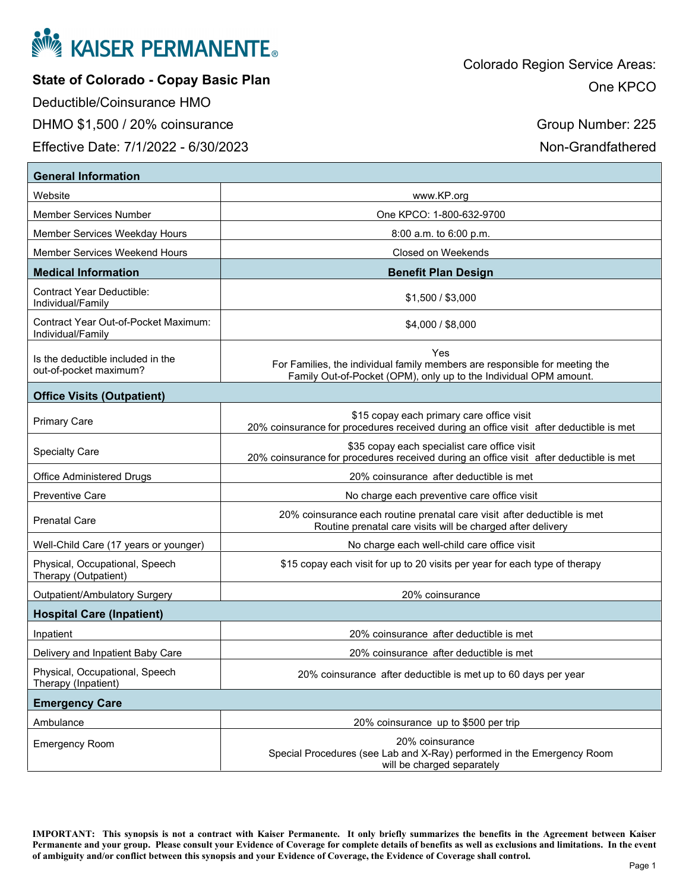

**State of Colorado - Copay Basic Plan** 

Deductible/Coinsurance HMO

**General Information**

DHMO \$1,500 / 20% coinsurance

Effective Date: 7/1/2022 - 6/30/2023

Group Number: 225

Non-Grandfathered

| General Information                                         |                                                                                                                                                         |  |
|-------------------------------------------------------------|---------------------------------------------------------------------------------------------------------------------------------------------------------|--|
| Website                                                     | www.KP.org                                                                                                                                              |  |
| <b>Member Services Number</b>                               | One KPCO: 1-800-632-9700                                                                                                                                |  |
| Member Services Weekday Hours                               | 8:00 a.m. to 6:00 p.m.                                                                                                                                  |  |
| Member Services Weekend Hours                               | Closed on Weekends                                                                                                                                      |  |
| <b>Medical Information</b>                                  | <b>Benefit Plan Design</b>                                                                                                                              |  |
| <b>Contract Year Deductible:</b><br>Individual/Family       | \$1,500 / \$3,000                                                                                                                                       |  |
| Contract Year Out-of-Pocket Maximum:<br>Individual/Family   | \$4,000 / \$8,000                                                                                                                                       |  |
| Is the deductible included in the<br>out-of-pocket maximum? | Yes<br>For Families, the individual family members are responsible for meeting the<br>Family Out-of-Pocket (OPM), only up to the Individual OPM amount. |  |
| <b>Office Visits (Outpatient)</b>                           |                                                                                                                                                         |  |
| <b>Primary Care</b>                                         | \$15 copay each primary care office visit<br>20% coinsurance for procedures received during an office visit after deductible is met                     |  |
| <b>Specialty Care</b>                                       | \$35 copay each specialist care office visit<br>20% coinsurance for procedures received during an office visit after deductible is met                  |  |
| <b>Office Administered Drugs</b>                            | 20% coinsurance after deductible is met                                                                                                                 |  |
| <b>Preventive Care</b>                                      | No charge each preventive care office visit                                                                                                             |  |
| <b>Prenatal Care</b>                                        | 20% coinsurance each routine prenatal care visit after deductible is met<br>Routine prenatal care visits will be charged after delivery                 |  |
| Well-Child Care (17 years or younger)                       | No charge each well-child care office visit                                                                                                             |  |
| Physical, Occupational, Speech<br>Therapy (Outpatient)      | \$15 copay each visit for up to 20 visits per year for each type of therapy                                                                             |  |
| Outpatient/Ambulatory Surgery                               | 20% coinsurance                                                                                                                                         |  |
| <b>Hospital Care (Inpatient)</b>                            |                                                                                                                                                         |  |
| Inpatient                                                   | 20% coinsurance after deductible is met                                                                                                                 |  |
| Delivery and Inpatient Baby Care                            | 20% coinsurance after deductible is met                                                                                                                 |  |
| Physical, Occupational, Speech<br>Therapy (Inpatient)       | 20% coinsurance after deductible is met up to 60 days per year                                                                                          |  |
| <b>Emergency Care</b>                                       |                                                                                                                                                         |  |
| Ambulance                                                   | 20% coinsurance up to \$500 per trip                                                                                                                    |  |
| <b>Emergency Room</b>                                       | 20% coinsurance<br>Special Procedures (see Lab and X-Ray) performed in the Emergency Room<br>will be charged separately                                 |  |

**IMPORTANT: This synopsis is not a contract with Kaiser Permanente. It only briefly summarizes the benefits in the Agreement between Kaiser Permanente and your group. Please consult your Evidence of Coverage for complete details of benefits as well as exclusions and limitations. In the event of ambiguity and/or conflict between this synopsis and your Evidence of Coverage, the Evidence of Coverage shall control.**